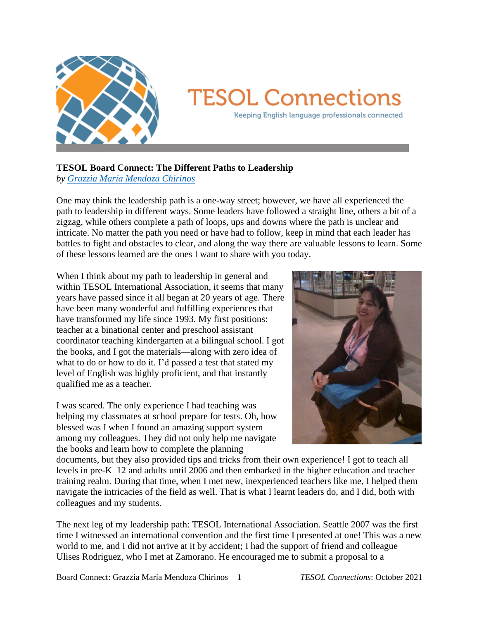

## **TESOL Connections**

Keeping English language professionals connected

## **TESOL Board Connect: The Different Paths to Leadership**

*by [Grazzia María Mendoza Chirinos](mailto:grazziem01@yahoo.com)*

One may think the leadership path is a one-way street; however, we have all experienced the path to leadership in different ways. Some leaders have followed a straight line, others a bit of a zigzag, while others complete a path of loops, ups and downs where the path is unclear and intricate. No matter the path you need or have had to follow, keep in mind that each leader has battles to fight and obstacles to clear, and along the way there are valuable lessons to learn. Some of these lessons learned are the ones I want to share with you today.

When I think about my path to leadership in general and within TESOL International Association, it seems that many years have passed since it all began at 20 years of age. There have been many wonderful and fulfilling experiences that have transformed my life since 1993. My first positions: teacher at a binational center and preschool assistant coordinator teaching kindergarten at a bilingual school. I got the books, and I got the materials—along with zero idea of what to do or how to do it. I'd passed a test that stated my level of English was highly proficient, and that instantly qualified me as a teacher.

I was scared. The only experience I had teaching was helping my classmates at school prepare for tests. Oh, how blessed was I when I found an amazing support system among my colleagues. They did not only help me navigate the books and learn how to complete the planning



documents, but they also provided tips and tricks from their own experience! I got to teach all levels in pre-K–12 and adults until 2006 and then embarked in the higher education and teacher training realm. During that time, when I met new, inexperienced teachers like me, I helped them navigate the intricacies of the field as well. That is what I learnt leaders do, and I did, both with colleagues and my students.

The next leg of my leadership path: TESOL International Association. Seattle 2007 was the first time I witnessed an international convention and the first time I presented at one! This was a new world to me, and I did not arrive at it by accident; I had the support of friend and colleague Ulises Rodriguez, who I met at Zamorano. He encouraged me to submit a proposal to a

Board Connect: Grazzia María Mendoza Chirinos 1 *TESOL Connections*: October 2021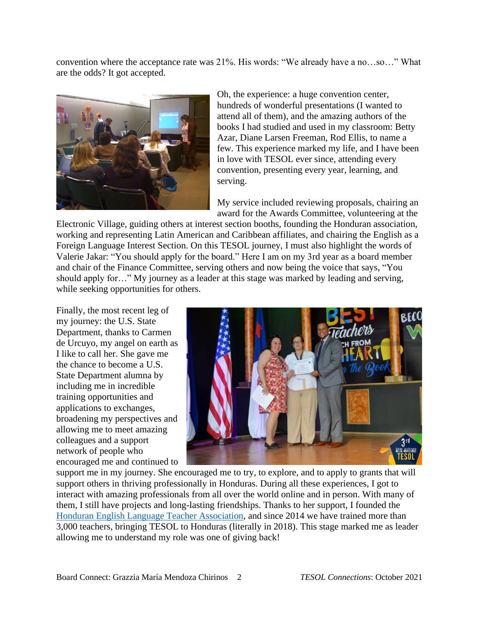convention where the acceptance rate was 21%. His words: "We already have a no…so…" What are the odds? It got accepted.



Oh, the experience: a huge convention center, hundreds of wonderful presentations (I wanted to attend all of them), and the amazing authors of the books I had studied and used in my classroom: Betty Azar, Diane Larsen Freeman, Rod Ellis, to name a few. This experience marked my life, and I have been in love with TESOL ever since, attending every convention, presenting every year, learning, and serving.

My service included reviewing proposals, chairing an award for the Awards Committee, volunteering at the

Electronic Village, guiding others at interest section booths, founding the Honduran association, working and representing Latin American and Caribbean affiliates, and chairing the English as a Foreign Language Interest Section. On this TESOL journey, I must also highlight the words of Valerie Jakar: "You should apply for the board." Here I am on my 3rd year as a board member and chair of the Finance Committee, serving others and now being the voice that says, "You should apply for…" My journey as a leader at this stage was marked by leading and serving, while seeking opportunities for others.

Finally, the most recent leg of my journey: the U.S. State Department, thanks to Carmen de Urcuyo, my angel on earth as I like to call her. She gave me the chance to become a U.S. State Department alumna by including me in incredible training opportunities and applications to exchanges, broadening my perspectives and allowing me to meet amazing colleagues and a support network of people who encouraged me and continued to



support me in my journey. She encouraged me to try, to explore, and to apply to grants that will support others in thriving professionally in Honduras. During all these experiences, I got to interact with amazing professionals from all over the world online and in person. With many of them, I still have projects and long-lasting friendships. Thanks to her support, I founded the [Honduran English Language Teacher Association,](https://heltahondurastesol.org/) and since 2014 we have trained more than 3,000 teachers, bringing TESOL to Honduras (literally in 2018). This stage marked me as leader allowing me to understand my role was one of giving back!